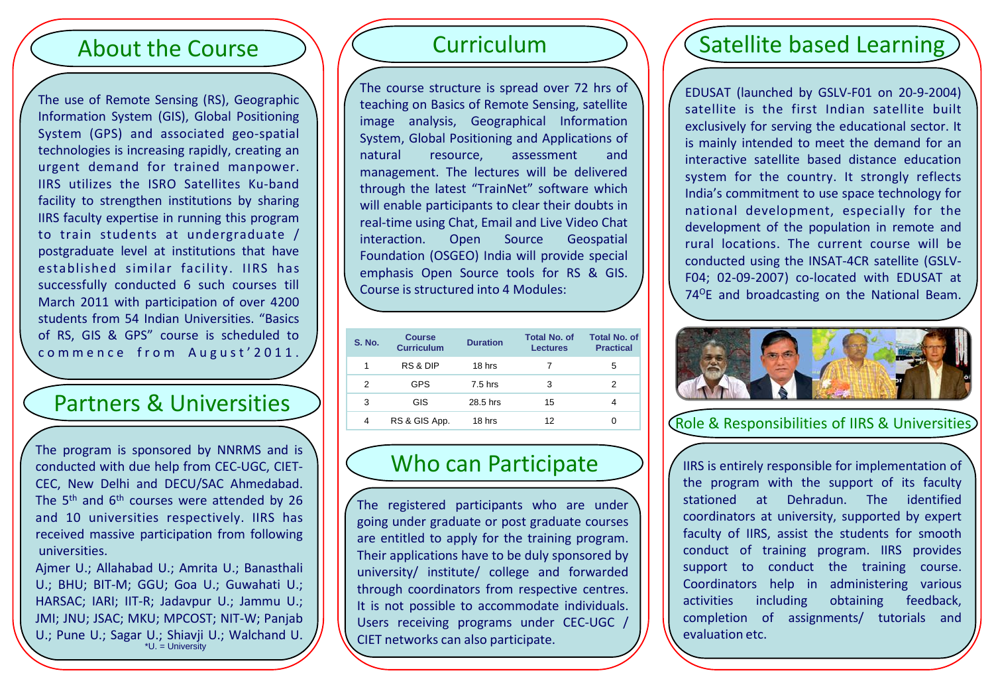## About the Course

The use of Remote Sensing (RS), Geographic Information System (GIS), Global Positioning System (GPS) and associated geo-spatial technologies is increasing rapidly, creating an urgent demand for trained manpower. IIRS utilizes the ISRO Satellites Ku-band facility to strengthen institutions by sharing IIRS faculty expertise in running this program to train students at undergraduate / postgraduate level at institutions that have established similar facility. IIRS has successfully conducted 6 such courses till March 2011 with participation of over 4200 students from 54 Indian Universities. "Basics of RS, GIS & GPS" course is scheduled to commence from August'2011.

## Partners & Universities

The program is sponsored by NNRMS and is conducted with due help from CEC-UGC, CIET-CEC, New Delhi and DECU/SAC Ahmedabad. The  $5<sup>th</sup>$  and  $6<sup>th</sup>$  courses were attended by 26 and 10 universities respectively. IIRS has received massive participation from following universities.

Ajmer U.; Allahabad U.; Amrita U.; Banasthali U.; BHU; BIT-M; GGU; Goa U.; Guwahati U.; HARSAC; IARI; IIT-R; Jadavpur U.; Jammu U.; JMI; JNU; JSAC; MKU; MPCOST; NIT-W; Panjab U.; Pune U.; Sagar U.; Shiavji U.; Walchand U.

# Curriculum

The course structure is spread over 72 hrs of teaching on Basics of Remote Sensing, satellite image analysis, Geographical Information System, Global Positioning and Applications of natural resource, assessment and management. The lectures will be delivered through the latest "TrainNet" software which will enable participants to clear their doubts in real-time using Chat, Email and Live Video Chat interaction. Open Source Geospatial Foundation (OSGEO) India will provide special emphasis Open Source tools for RS & GIS. Course is structured into 4 Modules:

| <b>S. No.</b> | <b>Course</b><br><b>Curriculum</b> | <b>Duration</b> | <b>Total No. of</b><br><b>Lectures</b> | <b>Total No. of</b><br><b>Practical</b> |
|---------------|------------------------------------|-----------------|----------------------------------------|-----------------------------------------|
| 1             | RS & DIP                           | 18 hrs          |                                        | 5                                       |
| 2             | <b>GPS</b>                         | $7.5$ hrs       | 3                                      | 2                                       |
| 3             | GIS                                | 28.5 hrs        | 15                                     | 4                                       |
| 4             | RS & GIS App.                      | 18 hrs          | 12                                     | 0                                       |

## Who can Participate

The registered participants who are under going under graduate or post graduate courses are entitled to apply for the training program. Their applications have to be duly sponsored by university/ institute/ college and forwarded through coordinators from respective centres. It is not possible to accommodate individuals. Users receiving programs under CEC-UGC / CIET networks can also participate.

# Satellite based Learning

EDUSAT (launched by GSLV-F01 on 20-9-2004) satellite is the first Indian satellite built exclusively for serving the educational sector. It is mainly intended to meet the demand for an interactive satellite based distance education system for the country. It strongly reflects India's commitment to use space technology for national development, especially for the development of the population in remote and rural locations. The current course will be conducted using the INSAT-4CR satellite (GSLV-F04; 02-09-2007) co-located with EDUSAT at 74<sup>o</sup>E and broadcasting on the National Beam.



Role & Responsibilities of IIRS & Universities

IIRS is entirely responsible for implementation of the program with the support of its faculty stationed at Dehradun. The identified coordinators at university, supported by expert faculty of IIRS, assist the students for smooth conduct of training program. IIRS provides support to conduct the training course. Coordinators help in administering various activities including obtaining feedback, completion of assignments/ tutorials and evaluation etc.